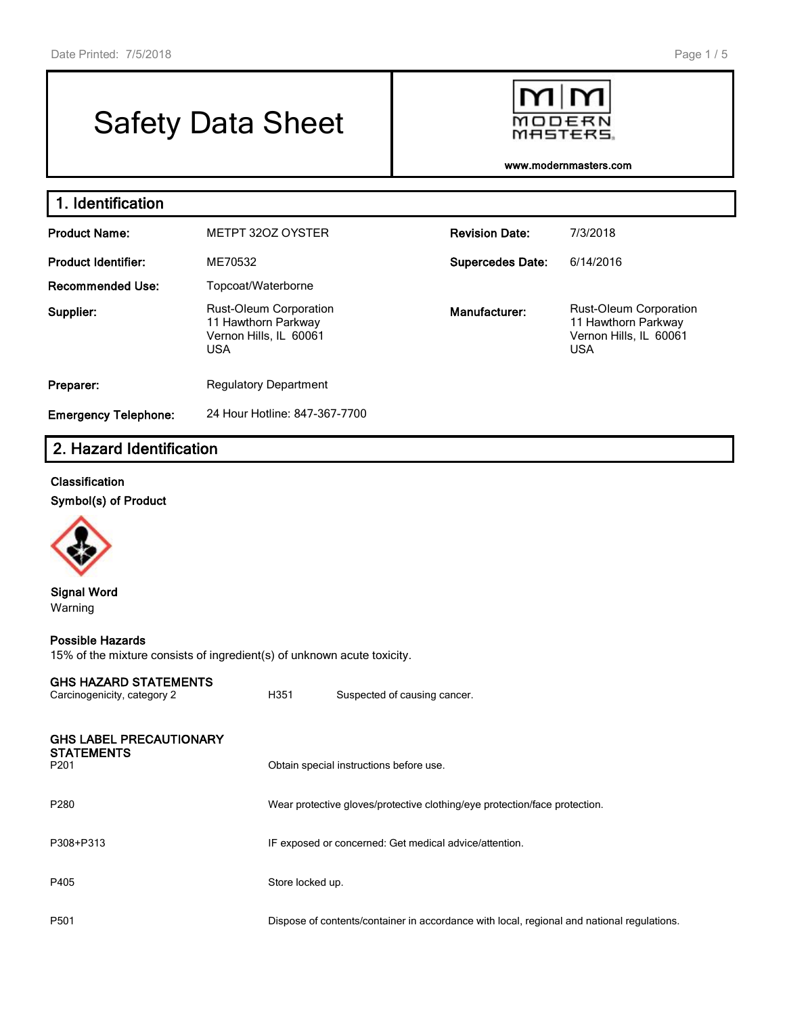# Safety Data Sheet



**www.modernmasters.com**

| 1. Identification           |                                                                                              |                         |                                                                                              |
|-----------------------------|----------------------------------------------------------------------------------------------|-------------------------|----------------------------------------------------------------------------------------------|
| <b>Product Name:</b>        | METPT 32OZ OYSTER                                                                            | <b>Revision Date:</b>   | 7/3/2018                                                                                     |
| <b>Product Identifier:</b>  | ME70532                                                                                      | <b>Supercedes Date:</b> | 6/14/2016                                                                                    |
| <b>Recommended Use:</b>     | Topcoat/Waterborne                                                                           |                         |                                                                                              |
| Supplier:                   | <b>Rust-Oleum Corporation</b><br>11 Hawthorn Parkway<br>Vernon Hills, IL 60061<br><b>USA</b> | Manufacturer:           | <b>Rust-Oleum Corporation</b><br>11 Hawthorn Parkway<br>Vernon Hills, IL 60061<br><b>USA</b> |
| Preparer:                   | <b>Regulatory Department</b>                                                                 |                         |                                                                                              |
| <b>Emergency Telephone:</b> | 24 Hour Hotline: 847-367-7700                                                                |                         |                                                                                              |

# **2. Hazard Identification**

#### **Classification**

**Symbol(s) of Product**



#### **Signal Word** Warning

#### **Possible Hazards**

15% of the mixture consists of ingredient(s) of unknown acute toxicity.

#### **GHS HAZARD STATEMENTS**

| Carcinogenicity, category 2                                             | H351             | Suspected of causing cancer.                                                               |
|-------------------------------------------------------------------------|------------------|--------------------------------------------------------------------------------------------|
| <b>GHS LABEL PRECAUTIONARY</b><br><b>STATEMENTS</b><br>P <sub>201</sub> |                  | Obtain special instructions before use.                                                    |
| P280                                                                    |                  | Wear protective gloves/protective clothing/eye protection/face protection.                 |
| P308+P313                                                               |                  | IF exposed or concerned: Get medical advice/attention.                                     |
| P405                                                                    | Store locked up. |                                                                                            |
| P501                                                                    |                  | Dispose of contents/container in accordance with local, regional and national regulations. |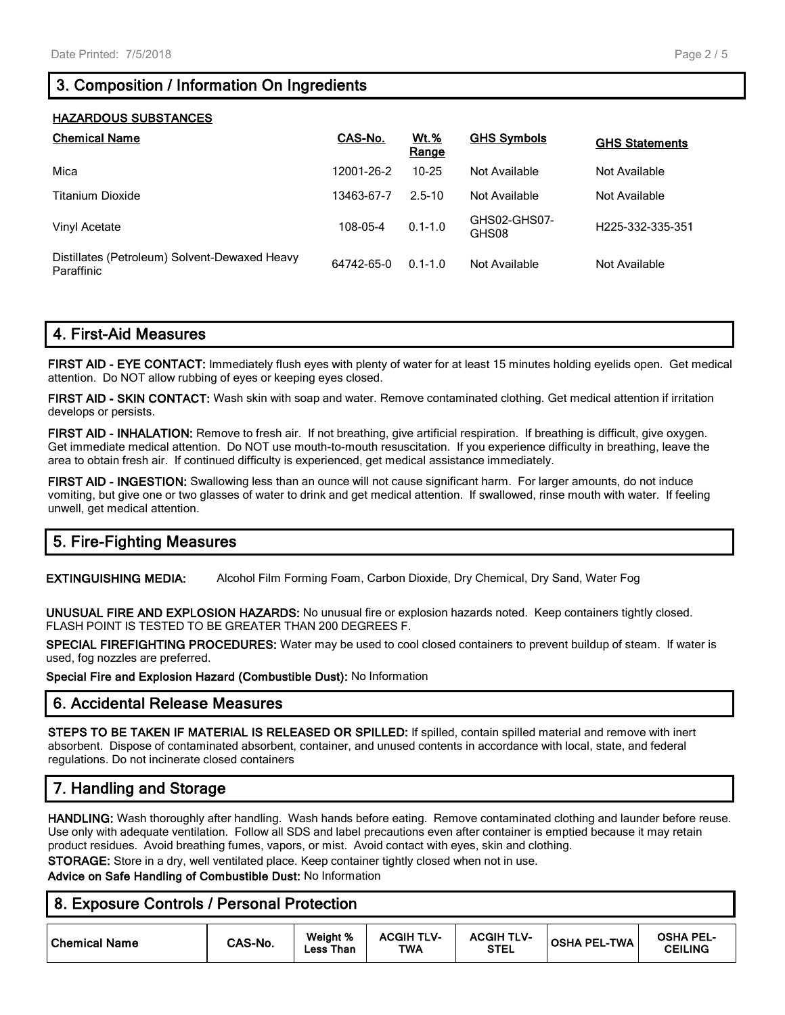## **3. Composition / Information On Ingredients**

|--|

| <b>Chemical Name</b>                                        | CAS-No.    | <b>Wt.%</b><br>Range | <b>GHS Symbols</b>    | <b>GHS Statements</b> |
|-------------------------------------------------------------|------------|----------------------|-----------------------|-----------------------|
| Mica                                                        | 12001-26-2 | $10 - 25$            | Not Available         | Not Available         |
| Titanium Dioxide                                            | 13463-67-7 | $2.5 - 10$           | Not Available         | Not Available         |
| Vinyl Acetate                                               | 108-05-4   | $0.1 - 1.0$          | GHS02-GHS07-<br>GHS08 | H225-332-335-351      |
| Distillates (Petroleum) Solvent-Dewaxed Heavy<br>Paraffinic | 64742-65-0 | $0.1 - 1.0$          | Not Available         | Not Available         |

#### **4. First-Aid Measures**

**FIRST AID - EYE CONTACT:** Immediately flush eyes with plenty of water for at least 15 minutes holding eyelids open. Get medical attention. Do NOT allow rubbing of eyes or keeping eyes closed.

**FIRST AID - SKIN CONTACT:** Wash skin with soap and water. Remove contaminated clothing. Get medical attention if irritation develops or persists.

**FIRST AID - INHALATION:** Remove to fresh air. If not breathing, give artificial respiration. If breathing is difficult, give oxygen. Get immediate medical attention. Do NOT use mouth-to-mouth resuscitation. If you experience difficulty in breathing, leave the area to obtain fresh air. If continued difficulty is experienced, get medical assistance immediately.

**FIRST AID - INGESTION:** Swallowing less than an ounce will not cause significant harm. For larger amounts, do not induce vomiting, but give one or two glasses of water to drink and get medical attention. If swallowed, rinse mouth with water. If feeling unwell, get medical attention.

### **5. Fire-Fighting Measures**

**EXTINGUISHING MEDIA:** Alcohol Film Forming Foam, Carbon Dioxide, Dry Chemical, Dry Sand, Water Fog

**UNUSUAL FIRE AND EXPLOSION HAZARDS:** No unusual fire or explosion hazards noted. Keep containers tightly closed. FLASH POINT IS TESTED TO BE GREATER THAN 200 DEGREES F.

**SPECIAL FIREFIGHTING PROCEDURES:** Water may be used to cool closed containers to prevent buildup of steam. If water is used, fog nozzles are preferred.

**Special Fire and Explosion Hazard (Combustible Dust):** No Information

#### **6. Accidental Release Measures**

**STEPS TO BE TAKEN IF MATERIAL IS RELEASED OR SPILLED:** If spilled, contain spilled material and remove with inert absorbent. Dispose of contaminated absorbent, container, and unused contents in accordance with local, state, and federal regulations. Do not incinerate closed containers

### **7. Handling and Storage**

**HANDLING:** Wash thoroughly after handling. Wash hands before eating. Remove contaminated clothing and launder before reuse. Use only with adequate ventilation. Follow all SDS and label precautions even after container is emptied because it may retain product residues. Avoid breathing fumes, vapors, or mist. Avoid contact with eyes, skin and clothing. **STORAGE:** Store in a dry, well ventilated place. Keep container tightly closed when not in use.

**Advice on Safe Handling of Combustible Dust:** No Information

#### **8. Exposure Controls / Personal Protection**

| <b>Chemical Name</b> | CAS-No. | Weight %<br>Than<br>Less | <b>ACGIH TLV-</b><br>TWA | <b>ACGIH</b><br>TLV-<br><b>STEL</b> | <b>OSHA PEL-TWA</b> | <b>OSHA PEL-</b><br><b>CEILING</b> |
|----------------------|---------|--------------------------|--------------------------|-------------------------------------|---------------------|------------------------------------|
|----------------------|---------|--------------------------|--------------------------|-------------------------------------|---------------------|------------------------------------|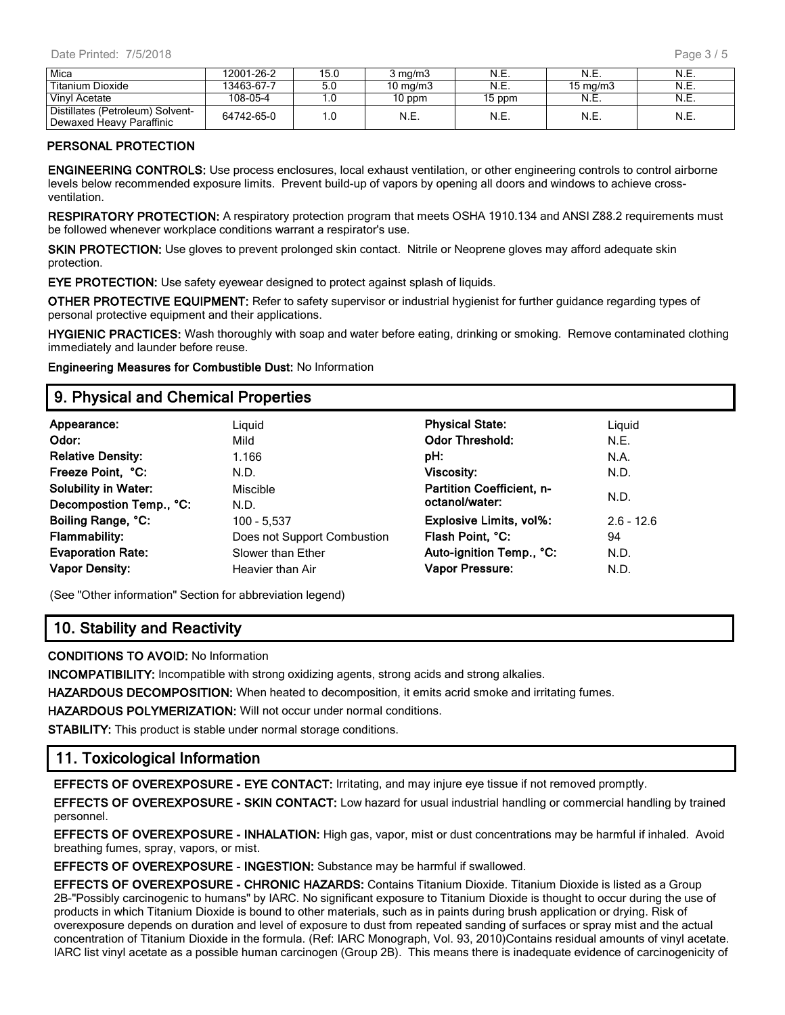| Mica                                                         | 12001-26-2 | 15.0 | $3 \text{ mg/m}$    | N.E.   | N.E.     | N.E. |
|--------------------------------------------------------------|------------|------|---------------------|--------|----------|------|
| Titanium Dioxide                                             | 13463-67-7 | 5.0  | $10 \text{ ma/m}$ 3 | N.E.   | 15 ma/m3 | N.E. |
| Vinvl Acetate                                                | 108-05-4   |      | $10$ ppm            | 15 ppm | N.E.     | N.E. |
| Distillates (Petroleum) Solvent-<br>Dewaxed Heavy Paraffinic | 64742-65-0 |      | N.E.                | N.E.   | N.E.     | N.E. |

#### **PERSONAL PROTECTION**

**ENGINEERING CONTROLS:** Use process enclosures, local exhaust ventilation, or other engineering controls to control airborne levels below recommended exposure limits. Prevent build-up of vapors by opening all doors and windows to achieve crossventilation.

**RESPIRATORY PROTECTION:** A respiratory protection program that meets OSHA 1910.134 and ANSI Z88.2 requirements must be followed whenever workplace conditions warrant a respirator's use.

**SKIN PROTECTION:** Use gloves to prevent prolonged skin contact. Nitrile or Neoprene gloves may afford adequate skin protection.

**EYE PROTECTION:** Use safety eyewear designed to protect against splash of liquids.

**OTHER PROTECTIVE EQUIPMENT:** Refer to safety supervisor or industrial hygienist for further guidance regarding types of personal protective equipment and their applications.

**HYGIENIC PRACTICES:** Wash thoroughly with soap and water before eating, drinking or smoking. Remove contaminated clothing immediately and launder before reuse.

**Engineering Measures for Combustible Dust:** No Information

#### **9. Physical and Chemical Properties**

| Appearance:                 | Liguid                      | <b>Physical State:</b>           | Liquid       |
|-----------------------------|-----------------------------|----------------------------------|--------------|
| Odor:                       | Mild                        | <b>Odor Threshold:</b>           | N.E.         |
| <b>Relative Density:</b>    | 1.166                       | pH:                              | N.A.         |
| Freeze Point, °C:           | N.D.                        | <b>Viscosity:</b>                | N.D.         |
| <b>Solubility in Water:</b> | Miscible                    | <b>Partition Coefficient, n-</b> |              |
| Decompostion Temp., °C:     | N.D.                        | octanol/water:                   | N.D.         |
| Boiling Range, °C:          | 100 - 5,537                 | Explosive Limits, vol%:          | $2.6 - 12.6$ |
| <b>Flammability:</b>        | Does not Support Combustion | Flash Point, °C:                 | 94           |
| <b>Evaporation Rate:</b>    | Slower than Ether           | Auto-ignition Temp., °C:         | N.D.         |
| <b>Vapor Density:</b>       | Heavier than Air            | <b>Vapor Pressure:</b>           | N.D.         |
|                             |                             |                                  |              |

(See "Other information" Section for abbreviation legend)

#### **10. Stability and Reactivity**

#### **CONDITIONS TO AVOID:** No Information

**INCOMPATIBILITY:** Incompatible with strong oxidizing agents, strong acids and strong alkalies.

**HAZARDOUS DECOMPOSITION:** When heated to decomposition, it emits acrid smoke and irritating fumes.

**HAZARDOUS POLYMERIZATION:** Will not occur under normal conditions.

**STABILITY:** This product is stable under normal storage conditions.

#### **11. Toxicological Information**

**EFFECTS OF OVEREXPOSURE - EYE CONTACT:** Irritating, and may injure eye tissue if not removed promptly.

**EFFECTS OF OVEREXPOSURE - SKIN CONTACT:** Low hazard for usual industrial handling or commercial handling by trained personnel.

**EFFECTS OF OVEREXPOSURE - INHALATION:** High gas, vapor, mist or dust concentrations may be harmful if inhaled. Avoid breathing fumes, spray, vapors, or mist.

**EFFECTS OF OVEREXPOSURE - INGESTION:** Substance may be harmful if swallowed.

**EFFECTS OF OVEREXPOSURE - CHRONIC HAZARDS:** Contains Titanium Dioxide. Titanium Dioxide is listed as a Group 2B-"Possibly carcinogenic to humans" by IARC. No significant exposure to Titanium Dioxide is thought to occur during the use of products in which Titanium Dioxide is bound to other materials, such as in paints during brush application or drying. Risk of overexposure depends on duration and level of exposure to dust from repeated sanding of surfaces or spray mist and the actual concentration of Titanium Dioxide in the formula. (Ref: IARC Monograph, Vol. 93, 2010)Contains residual amounts of vinyl acetate. IARC list vinyl acetate as a possible human carcinogen (Group 2B). This means there is inadequate evidence of carcinogenicity of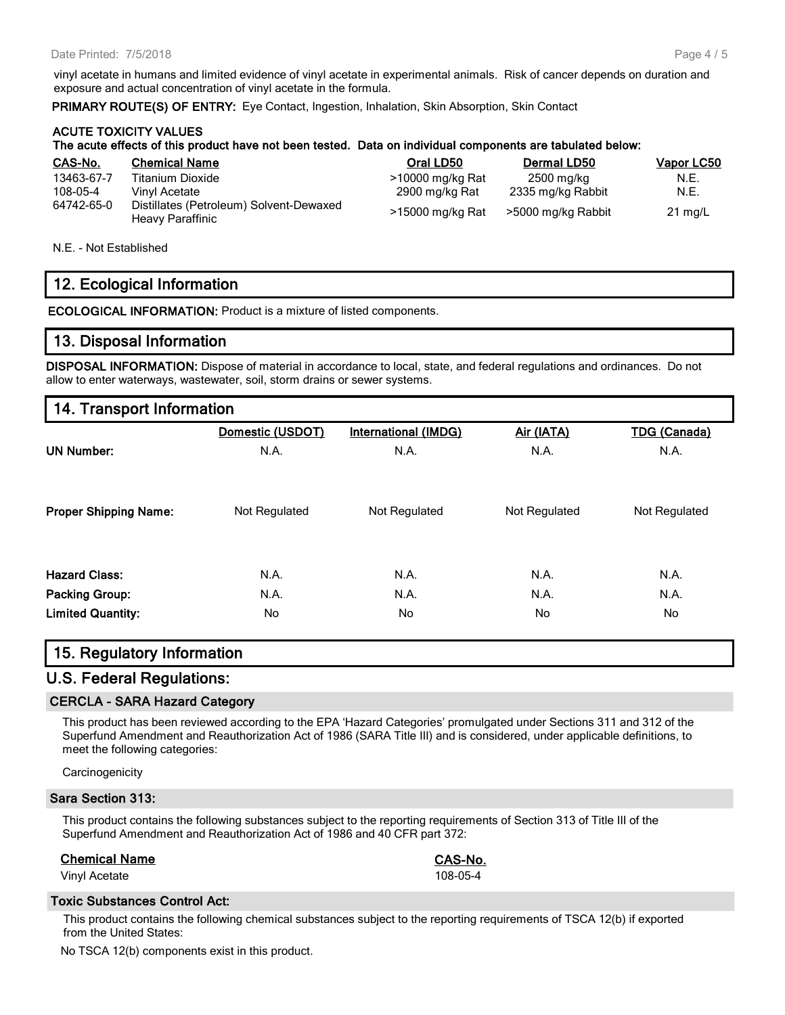vinyl acetate in humans and limited evidence of vinyl acetate in experimental animals. Risk of cancer depends on duration and exposure and actual concentration of vinyl acetate in the formula.

**PRIMARY ROUTE(S) OF ENTRY:** Eye Contact, Ingestion, Inhalation, Skin Absorption, Skin Contact

| <b>ACUTE TOXICITY VALUES</b><br>The acute effects of this product have not been tested. Data on individual components are tabulated below: |                                                                    |                  |                    |                   |  |
|--------------------------------------------------------------------------------------------------------------------------------------------|--------------------------------------------------------------------|------------------|--------------------|-------------------|--|
| CAS-No.                                                                                                                                    | <b>Chemical Name</b>                                               | Oral LD50        | Dermal LD50        | <b>Vapor LC50</b> |  |
| 13463-67-7                                                                                                                                 | <b>Titanium Dioxide</b>                                            | >10000 mg/kg Rat | 2500 mg/kg         | N.E.              |  |
| 108-05-4                                                                                                                                   | Vinyl Acetate                                                      | 2900 mg/kg Rat   | 2335 mg/kg Rabbit  | N.E.              |  |
| 64742-65-0                                                                                                                                 | Distillates (Petroleum) Solvent-Dewaxed<br><b>Heavy Paraffinic</b> | >15000 mg/kg Rat | >5000 mg/kg Rabbit | $21 \text{ mg/L}$ |  |

N.E. - Not Established

#### **12. Ecological Information**

**ECOLOGICAL INFORMATION:** Product is a mixture of listed components.

#### **13. Disposal Information**

**DISPOSAL INFORMATION:** Dispose of material in accordance to local, state, and federal regulations and ordinances. Do not allow to enter waterways, wastewater, soil, storm drains or sewer systems.

| 14. Transport Information    |                  |                             |               |                     |  |  |  |
|------------------------------|------------------|-----------------------------|---------------|---------------------|--|--|--|
|                              | Domestic (USDOT) | <b>International (IMDG)</b> | Air (IATA)    | <b>TDG (Canada)</b> |  |  |  |
| <b>UN Number:</b>            | N.A.             | N.A.                        | N.A.          | N.A.                |  |  |  |
| <b>Proper Shipping Name:</b> | Not Regulated    | Not Regulated               | Not Regulated | Not Regulated       |  |  |  |
| <b>Hazard Class:</b>         | N.A.             | N.A.                        | N.A.          | N.A.                |  |  |  |
| <b>Packing Group:</b>        | N.A.             | N.A.                        | N.A.          | N.A.                |  |  |  |
| <b>Limited Quantity:</b>     | <b>No</b>        | No.                         | No.           | No.                 |  |  |  |
|                              |                  |                             |               |                     |  |  |  |

#### **15. Regulatory Information**

#### **U.S. Federal Regulations:**

#### **CERCLA - SARA Hazard Category**

This product has been reviewed according to the EPA 'Hazard Categories' promulgated under Sections 311 and 312 of the Superfund Amendment and Reauthorization Act of 1986 (SARA Title III) and is considered, under applicable definitions, to meet the following categories:

**Carcinogenicity** 

#### **Sara Section 313:**

This product contains the following substances subject to the reporting requirements of Section 313 of Title III of the Superfund Amendment and Reauthorization Act of 1986 and 40 CFR part 372:

#### **Chemical Name CAS-No.**

Vinyl Acetate 108-05-4

# **Toxic Substances Control Act:**

This product contains the following chemical substances subject to the reporting requirements of TSCA 12(b) if exported from the United States:

No TSCA 12(b) components exist in this product.